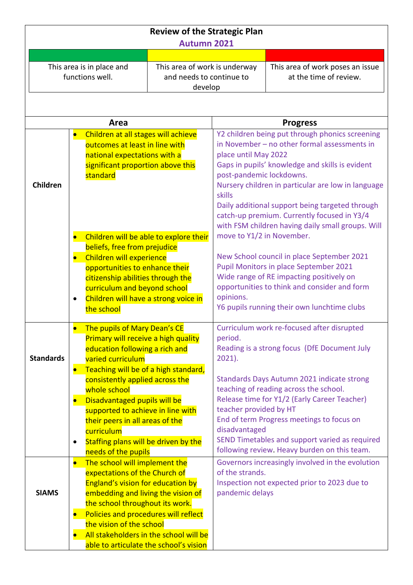| <b>Review of the Strategic Plan</b><br><b>Autumn 2021</b> |                                                                                                                                                                 |                                                           |                                                 |                                                                                      |  |  |  |  |
|-----------------------------------------------------------|-----------------------------------------------------------------------------------------------------------------------------------------------------------------|-----------------------------------------------------------|-------------------------------------------------|--------------------------------------------------------------------------------------|--|--|--|--|
|                                                           |                                                                                                                                                                 |                                                           |                                                 |                                                                                      |  |  |  |  |
|                                                           | This area is in place and                                                                                                                                       |                                                           |                                                 | This area of work poses an issue                                                     |  |  |  |  |
|                                                           | functions well.                                                                                                                                                 | This area of work is underway<br>and needs to continue to |                                                 | at the time of review.                                                               |  |  |  |  |
|                                                           |                                                                                                                                                                 | develop                                                   |                                                 |                                                                                      |  |  |  |  |
|                                                           |                                                                                                                                                                 |                                                           |                                                 |                                                                                      |  |  |  |  |
|                                                           |                                                                                                                                                                 |                                                           |                                                 |                                                                                      |  |  |  |  |
|                                                           | Area                                                                                                                                                            |                                                           |                                                 | <b>Progress</b>                                                                      |  |  |  |  |
| Children at all stages will achieve<br>$\bullet$          |                                                                                                                                                                 |                                                           |                                                 | Y2 children being put through phonics screening                                      |  |  |  |  |
|                                                           | outcomes at least in line with                                                                                                                                  |                                                           | in November - no other formal assessments in    |                                                                                      |  |  |  |  |
|                                                           | national expectations with a                                                                                                                                    |                                                           | place until May 2022                            |                                                                                      |  |  |  |  |
|                                                           | significant proportion above this                                                                                                                               |                                                           |                                                 | Gaps in pupils' knowledge and skills is evident                                      |  |  |  |  |
|                                                           | standard                                                                                                                                                        |                                                           | post-pandemic lockdowns.                        |                                                                                      |  |  |  |  |
| Children                                                  |                                                                                                                                                                 |                                                           |                                                 | Nursery children in particular are low in language                                   |  |  |  |  |
|                                                           |                                                                                                                                                                 |                                                           | skills                                          |                                                                                      |  |  |  |  |
|                                                           |                                                                                                                                                                 |                                                           | Daily additional support being targeted through |                                                                                      |  |  |  |  |
|                                                           |                                                                                                                                                                 |                                                           |                                                 | catch-up premium. Currently focused in Y3/4                                          |  |  |  |  |
|                                                           |                                                                                                                                                                 |                                                           |                                                 | with FSM children having daily small groups. Will                                    |  |  |  |  |
|                                                           | Children will be able to explore their<br>$\bullet$                                                                                                             |                                                           | move to Y1/2 in November.                       |                                                                                      |  |  |  |  |
|                                                           | beliefs, free from prejudice                                                                                                                                    |                                                           |                                                 |                                                                                      |  |  |  |  |
|                                                           | $\bullet$                                                                                                                                                       | Children will experience                                  |                                                 | New School council in place September 2021<br>Pupil Monitors in place September 2021 |  |  |  |  |
|                                                           | opportunities to enhance their                                                                                                                                  |                                                           |                                                 | Wide range of RE impacting positively on                                             |  |  |  |  |
|                                                           | citizenship abilities through the                                                                                                                               |                                                           |                                                 | opportunities to think and consider and form                                         |  |  |  |  |
|                                                           | $\bullet$                                                                                                                                                       | curriculum and beyond school                              |                                                 |                                                                                      |  |  |  |  |
|                                                           | Children will have a strong voice in<br>the school                                                                                                              |                                                           | opinions.                                       | Y6 pupils running their own lunchtime clubs                                          |  |  |  |  |
|                                                           |                                                                                                                                                                 |                                                           |                                                 |                                                                                      |  |  |  |  |
|                                                           | The pupils of Mary Dean's CE<br>$\bullet$                                                                                                                       |                                                           |                                                 | Curriculum work re-focused after disrupted                                           |  |  |  |  |
|                                                           | <b>Primary will receive a high quality</b>                                                                                                                      |                                                           | period.                                         |                                                                                      |  |  |  |  |
|                                                           | education following a rich and                                                                                                                                  |                                                           | Reading is a strong focus (DfE Document July    |                                                                                      |  |  |  |  |
| <b>Standards</b>                                          | varied curriculum                                                                                                                                               |                                                           | $2021$ ).                                       |                                                                                      |  |  |  |  |
|                                                           | Teaching will be of a high standard,<br>$\bullet$                                                                                                               |                                                           |                                                 |                                                                                      |  |  |  |  |
|                                                           | consistently applied across the                                                                                                                                 |                                                           |                                                 | Standards Days Autumn 2021 indicate strong                                           |  |  |  |  |
|                                                           | whole school                                                                                                                                                    |                                                           |                                                 | teaching of reading across the school.                                               |  |  |  |  |
|                                                           | Disadvantaged pupils will be<br>$\bullet$                                                                                                                       |                                                           | teacher provided by HT                          | Release time for Y1/2 (Early Career Teacher)                                         |  |  |  |  |
|                                                           | supported to achieve in line with                                                                                                                               |                                                           |                                                 | End of term Progress meetings to focus on                                            |  |  |  |  |
|                                                           | their peers in all areas of the                                                                                                                                 |                                                           | disadvantaged                                   |                                                                                      |  |  |  |  |
|                                                           | curriculum<br>Staffing plans will be driven by the                                                                                                              |                                                           |                                                 | SEND Timetables and support varied as required                                       |  |  |  |  |
|                                                           | $\bullet$<br>needs of the pupils                                                                                                                                |                                                           |                                                 | following review. Heavy burden on this team.                                         |  |  |  |  |
|                                                           | The school will implement the<br>$\bullet$                                                                                                                      |                                                           |                                                 | Governors increasingly involved in the evolution                                     |  |  |  |  |
|                                                           | expectations of the Church of                                                                                                                                   |                                                           | of the strands.                                 |                                                                                      |  |  |  |  |
|                                                           |                                                                                                                                                                 |                                                           |                                                 | Inspection not expected prior to 2023 due to                                         |  |  |  |  |
| <b>SIAMS</b>                                              | England's vision for education by<br>embedding and living the vision of<br>the school throughout its work.<br>Policies and procedures will reflect<br>$\bullet$ |                                                           | pandemic delays                                 |                                                                                      |  |  |  |  |
|                                                           |                                                                                                                                                                 |                                                           |                                                 |                                                                                      |  |  |  |  |
|                                                           |                                                                                                                                                                 |                                                           |                                                 |                                                                                      |  |  |  |  |
|                                                           | the vision of the school                                                                                                                                        |                                                           |                                                 |                                                                                      |  |  |  |  |
|                                                           | All stakeholders in the school will be<br>$\bullet$                                                                                                             |                                                           |                                                 |                                                                                      |  |  |  |  |
|                                                           | able to articulate the school's vision                                                                                                                          |                                                           |                                                 |                                                                                      |  |  |  |  |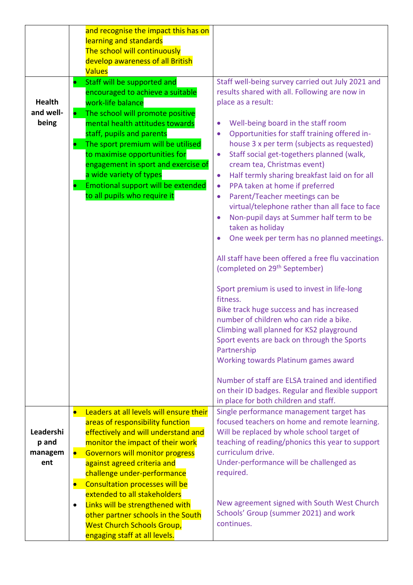|                                      | and recognise the impact this has on<br>learning and standards<br>The school will continuously                                                                                                                                                                                                                                                                                                                                                     |                                                                                                                                                                                                                                                                                                                                                                                                                                                                                                                                                                                                                                                                                   |
|--------------------------------------|----------------------------------------------------------------------------------------------------------------------------------------------------------------------------------------------------------------------------------------------------------------------------------------------------------------------------------------------------------------------------------------------------------------------------------------------------|-----------------------------------------------------------------------------------------------------------------------------------------------------------------------------------------------------------------------------------------------------------------------------------------------------------------------------------------------------------------------------------------------------------------------------------------------------------------------------------------------------------------------------------------------------------------------------------------------------------------------------------------------------------------------------------|
|                                      | develop awareness of all British                                                                                                                                                                                                                                                                                                                                                                                                                   |                                                                                                                                                                                                                                                                                                                                                                                                                                                                                                                                                                                                                                                                                   |
| <b>Health</b><br>and well-<br>being  | <b>Values</b><br>Staff will be supported and<br>$\bullet$<br>encouraged to achieve a suitable<br>work-life balance<br>The school will promote positive<br>mental health attitudes towards<br>staff, pupils and parents<br>The sport premium will be utilised<br>to maximise opportunities for<br>engagement in sport and exercise of<br>a wide variety of types<br>Emotional support will be extended<br>$\bullet$<br>to all pupils who require it | Staff well-being survey carried out July 2021 and<br>results shared with all. Following are now in<br>place as a result:<br>Well-being board in the staff room<br>Opportunities for staff training offered in-<br>house 3 x per term (subjects as requested)<br>Staff social get-togethers planned (walk,<br>$\bullet$<br>cream tea, Christmas event)<br>Half termly sharing breakfast laid on for all<br>$\bullet$<br>PPA taken at home if preferred<br>$\bullet$<br>Parent/Teacher meetings can be<br>$\bullet$<br>virtual/telephone rather than all face to face<br>Non-pupil days at Summer half term to be<br>taken as holiday<br>One week per term has no planned meetings. |
|                                      |                                                                                                                                                                                                                                                                                                                                                                                                                                                    | All staff have been offered a free flu vaccination<br>(completed on 29 <sup>th</sup> September)                                                                                                                                                                                                                                                                                                                                                                                                                                                                                                                                                                                   |
|                                      |                                                                                                                                                                                                                                                                                                                                                                                                                                                    | Sport premium is used to invest in life-long<br>fitness.<br>Bike track huge success and has increased<br>number of children who can ride a bike.<br>Climbing wall planned for KS2 playground<br>Sport events are back on through the Sports<br>Partnership<br>Working towards Platinum games award                                                                                                                                                                                                                                                                                                                                                                                |
|                                      |                                                                                                                                                                                                                                                                                                                                                                                                                                                    | Number of staff are ELSA trained and identified<br>on their ID badges. Regular and flexible support<br>in place for both children and staff.                                                                                                                                                                                                                                                                                                                                                                                                                                                                                                                                      |
| <b>Leadershi</b><br>p and<br>managem | Leaders at all levels will ensure their<br>$\bullet$<br>areas of responsibility function<br>effectively and will understand and<br>monitor the impact of their work<br><b>Governors will monitor progress</b><br>$\bullet$                                                                                                                                                                                                                         | Single performance management target has<br>focused teachers on home and remote learning.<br>Will be replaced by whole school target of<br>teaching of reading/phonics this year to support<br>curriculum drive.                                                                                                                                                                                                                                                                                                                                                                                                                                                                  |
| ent                                  | against agreed criteria and<br>challenge under-performance<br><b>Consultation processes will be</b><br>$\bullet$<br>extended to all stakeholders<br>Links will be strengthened with<br>$\bullet$                                                                                                                                                                                                                                                   | Under-performance will be challenged as<br>required.<br>New agreement signed with South West Church                                                                                                                                                                                                                                                                                                                                                                                                                                                                                                                                                                               |
|                                      | other partner schools in the South<br><b>West Church Schools Group,</b><br>engaging staff at all levels.                                                                                                                                                                                                                                                                                                                                           | Schools' Group (summer 2021) and work<br>continues.                                                                                                                                                                                                                                                                                                                                                                                                                                                                                                                                                                                                                               |